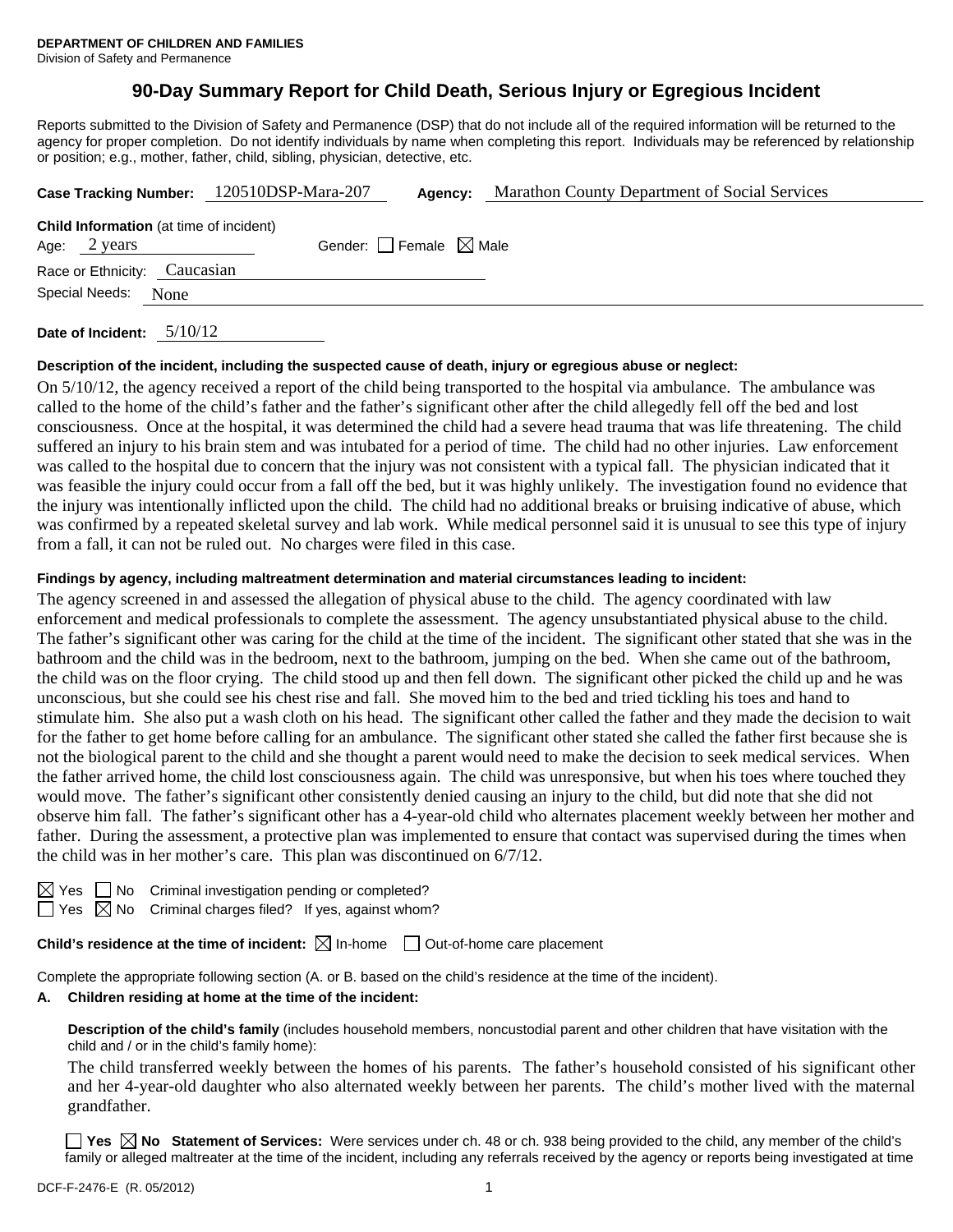# **90-Day Summary Report for Child Death, Serious Injury or Egregious Incident**

Reports submitted to the Division of Safety and Permanence (DSP) that do not include all of the required information will be returned to the agency for proper completion. Do not identify individuals by name when completing this report. Individuals may be referenced by relationship or position; e.g., mother, father, child, sibling, physician, detective, etc.

|                                                | Case Tracking Number: 120510DSP-Mara-207 | Agency: | Marathon County Department of Social Services |  |  |
|------------------------------------------------|------------------------------------------|---------|-----------------------------------------------|--|--|
| <b>Child Information</b> (at time of incident) |                                          |         |                                               |  |  |
| Age: 2 years                                   | Gender: Female $\boxtimes$ Male          |         |                                               |  |  |
| Race or Ethnicity: Caucasian                   |                                          |         |                                               |  |  |
| Special Needs:<br>None                         |                                          |         |                                               |  |  |
| $-11011A$                                      |                                          |         |                                               |  |  |

**Date of Incident:** 5/10/12

### **Description of the incident, including the suspected cause of death, injury or egregious abuse or neglect:**

On 5/10/12, the agency received a report of the child being transported to the hospital via ambulance. The ambulance was called to the home of the child's father and the father's significant other after the child allegedly fell off the bed and lost consciousness. Once at the hospital, it was determined the child had a severe head trauma that was life threatening. The child suffered an injury to his brain stem and was intubated for a period of time. The child had no other injuries. Law enforcement was called to the hospital due to concern that the injury was not consistent with a typical fall. The physician indicated that it was feasible the injury could occur from a fall off the bed, but it was highly unlikely. The investigation found no evidence that the injury was intentionally inflicted upon the child. The child had no additional breaks or bruising indicative of abuse, which was confirmed by a repeated skeletal survey and lab work. While medical personnel said it is unusual to see this type of injury from a fall, it can not be ruled out. No charges were filed in this case.

### **Findings by agency, including maltreatment determination and material circumstances leading to incident:**

The agency screened in and assessed the allegation of physical abuse to the child. The agency coordinated with law enforcement and medical professionals to complete the assessment. The agency unsubstantiated physical abuse to the child. The father's significant other was caring for the child at the time of the incident. The significant other stated that she was in the bathroom and the child was in the bedroom, next to the bathroom, jumping on the bed. When she came out of the bathroom, the child was on the floor crying. The child stood up and then fell down. The significant other picked the child up and he was unconscious, but she could see his chest rise and fall. She moved him to the bed and tried tickling his toes and hand to stimulate him. She also put a wash cloth on his head. The significant other called the father and they made the decision to wait for the father to get home before calling for an ambulance. The significant other stated she called the father first because she is not the biological parent to the child and she thought a parent would need to make the decision to seek medical services. When the father arrived home, the child lost consciousness again. The child was unresponsive, but when his toes where touched they would move. The father's significant other consistently denied causing an injury to the child, but did note that she did not observe him fall. The father's significant other has a 4-year-old child who alternates placement weekly between her mother and father. During the assessment, a protective plan was implemented to ensure that contact was supervised during the times when the child was in her mother's care. This plan was discontinued on 6/7/12.

No Criminal investigation pending or completed?

 $\Box$  Yes  $\boxtimes$  No Criminal charges filed? If yes, against whom?

**Child's residence at the time of incident:**  $\boxtimes$  In-home  $\Box$  Out-of-home care placement

Complete the appropriate following section (A. or B. based on the child's residence at the time of the incident).

# **A. Children residing at home at the time of the incident:**

**Description of the child's family** (includes household members, noncustodial parent and other children that have visitation with the child and / or in the child's family home):

The child transferred weekly between the homes of his parents. The father's household consisted of his significant other and her 4-year-old daughter who also alternated weekly between her parents. The child's mother lived with the maternal grandfather.

**Yes**  $\boxtimes$  **No** Statement of Services: Were services under ch. 48 or ch. 938 being provided to the child, any member of the child's family or alleged maltreater at the time of the incident, including any referrals received by the agency or reports being investigated at time